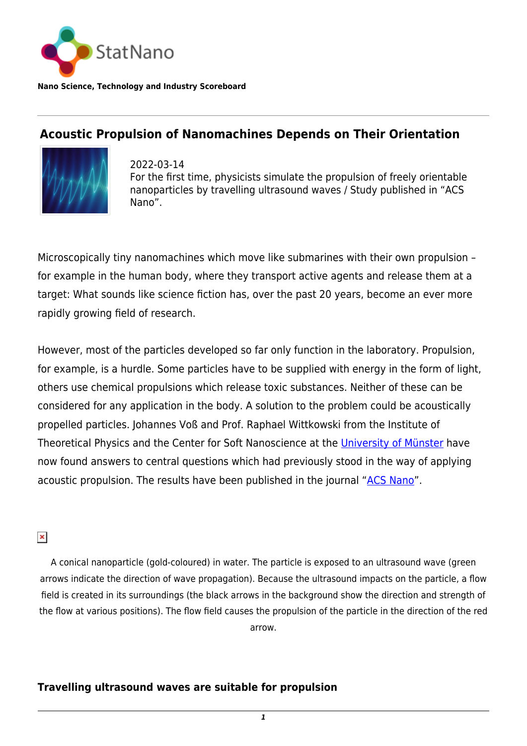

**Nano Science, Technology and Industry Scoreboard**

## **Acoustic Propulsion of Nanomachines Depends on Their Orientation**



2022-03-14 For the first time, physicists simulate the propulsion of freely orientable nanoparticles by travelling ultrasound waves / Study published in "ACS Nano".

Microscopically tiny nanomachines which move like submarines with their own propulsion – for example in the human body, where they transport active agents and release them at a target: What sounds like science fiction has, over the past 20 years, become an ever more rapidly growing field of research.

However, most of the particles developed so far only function in the laboratory. Propulsion, for example, is a hurdle. Some particles have to be supplied with energy in the form of light, others use chemical propulsions which release toxic substances. Neither of these can be considered for any application in the body. A solution to the problem could be acoustically propelled particles. Johannes Voß and Prof. Raphael Wittkowski from the Institute of Theoretical Physics and the Center for Soft Nanoscience at the [University of Münster](https://statnano.com/org/University-of-Munster) have now found answers to central questions which had previously stood in the way of applying acoustic propulsion. The results have been published in the journal "[ACS Nano](https://pubs.acs.org/doi/10.1021/acsnano.1c02302)".

 $\pmb{\times}$ 

A conical nanoparticle (gold-coloured) in water. The particle is exposed to an ultrasound wave (green arrows indicate the direction of wave propagation). Because the ultrasound impacts on the particle, a flow field is created in its surroundings (the black arrows in the background show the direction and strength of the flow at various positions). The flow field causes the propulsion of the particle in the direction of the red arrow.

## **Travelling ultrasound waves are suitable for propulsion**

*1*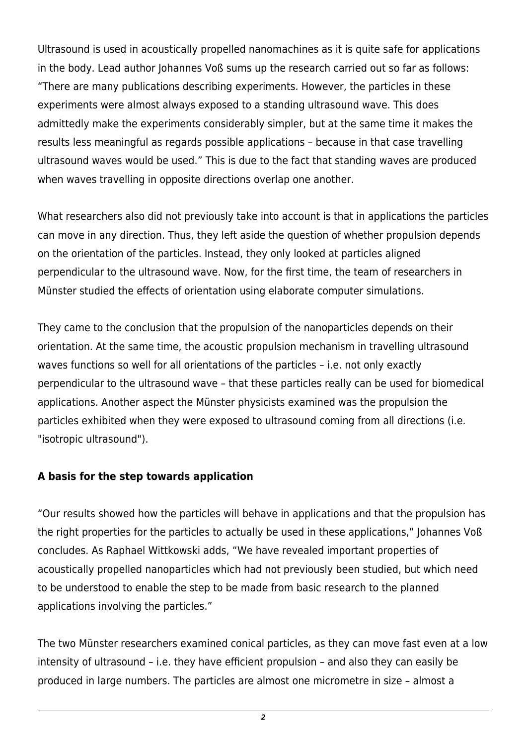Ultrasound is used in acoustically propelled nanomachines as it is quite safe for applications in the body. Lead author Johannes Voß sums up the research carried out so far as follows: "There are many publications describing experiments. However, the particles in these experiments were almost always exposed to a standing ultrasound wave. This does admittedly make the experiments considerably simpler, but at the same time it makes the results less meaningful as regards possible applications – because in that case travelling ultrasound waves would be used." This is due to the fact that standing waves are produced when waves travelling in opposite directions overlap one another.

What researchers also did not previously take into account is that in applications the particles can move in any direction. Thus, they left aside the question of whether propulsion depends on the orientation of the particles. Instead, they only looked at particles aligned perpendicular to the ultrasound wave. Now, for the first time, the team of researchers in Münster studied the effects of orientation using elaborate computer simulations.

They came to the conclusion that the propulsion of the nanoparticles depends on their orientation. At the same time, the acoustic propulsion mechanism in travelling ultrasound waves functions so well for all orientations of the particles – i.e. not only exactly perpendicular to the ultrasound wave – that these particles really can be used for biomedical applications. Another aspect the Münster physicists examined was the propulsion the particles exhibited when they were exposed to ultrasound coming from all directions (i.e. "isotropic ultrasound").

## **A basis for the step towards application**

"Our results showed how the particles will behave in applications and that the propulsion has the right properties for the particles to actually be used in these applications," Johannes Voß concludes. As Raphael Wittkowski adds, "We have revealed important properties of acoustically propelled nanoparticles which had not previously been studied, but which need to be understood to enable the step to be made from basic research to the planned applications involving the particles."

The two Münster researchers examined conical particles, as they can move fast even at a low intensity of ultrasound – i.e. they have efficient propulsion – and also they can easily be produced in large numbers. The particles are almost one micrometre in size – almost a